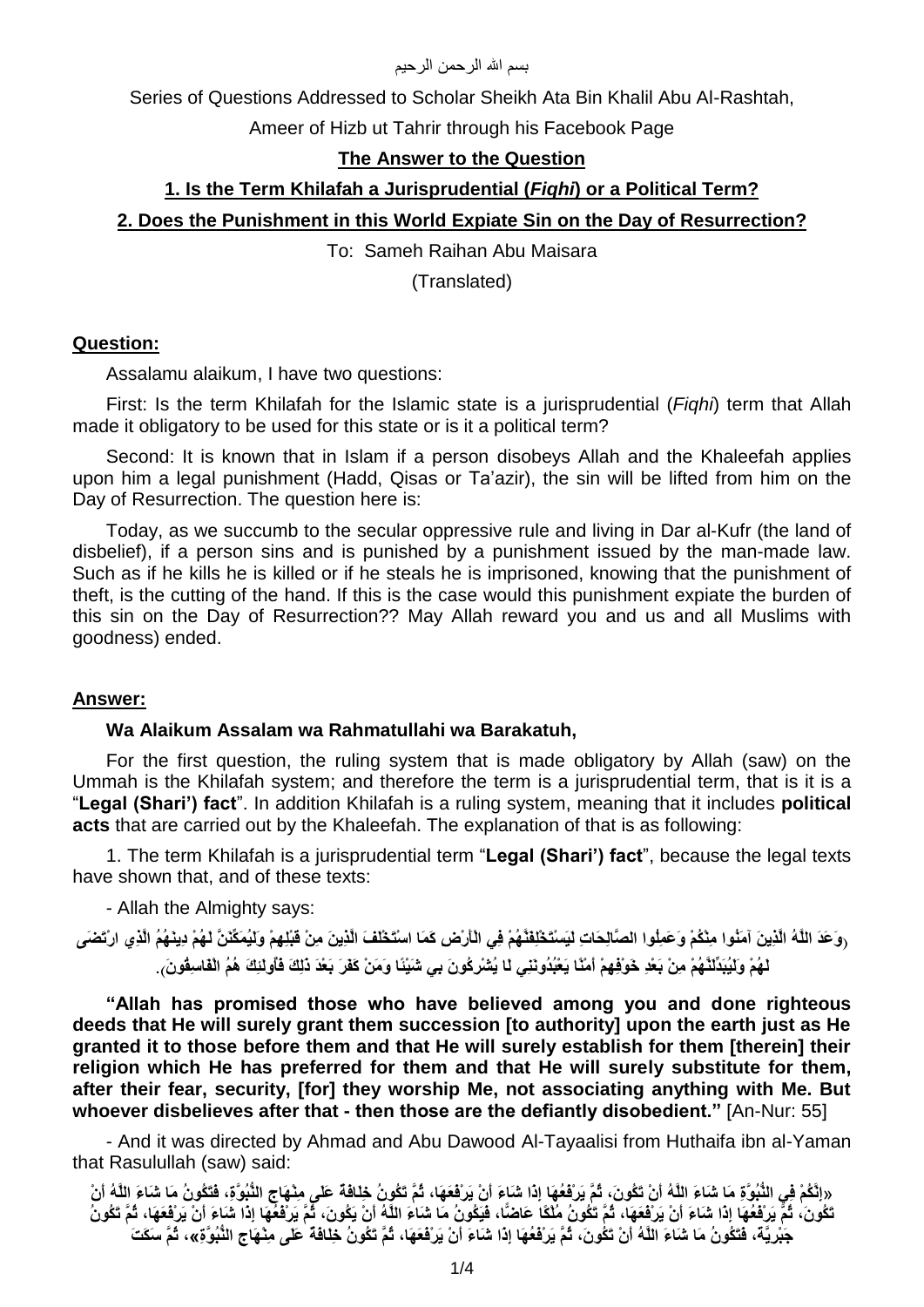### بسم الله الر حمن الر حيم

Series of Questions Addressed to Scholar Sheikh Ata Bin Khalil Abu Al-Rashtah,

Ameer of Hizb ut Tahrir through his Facebook Page

## **The Answer to the Question**

## **1. Is the Term Khilafah a Jurisprudential (***Fiqhi***) or a Political Term?**

## **2. Does the Punishment in this World Expiate Sin on the Day of Resurrection?**

To: Sameh Raihan Abu Maisara

(Translated)

### **Question:**

Assalamu alaikum, I have two questions:

First: Is the term Khilafah for the Islamic state is a jurisprudential (*Fiqhi*) term that Allah made it obligatory to be used for this state or is it a political term?

Second: It is known that in Islam if a person disobeys Allah and the Khaleefah applies upon him a legal punishment (Hadd, Qisas or Ta'azir), the sin will be lifted from him on the Day of Resurrection. The question here is:

Today, as we succumb to the secular oppressive rule and living in Dar al-Kufr (the land of disbelief), if a person sins and is punished by a punishment issued by the man-made law. Such as if he kills he is killed or if he steals he is imprisoned, knowing that the punishment of theft, is the cutting of the hand. If this is the case would this punishment expiate the burden of this sin on the Day of Resurrection?? May Allah reward you and us and all Muslims with goodness) ended.

#### **Answer:**

### **Wa Alaikum Assalam wa Rahmatullahi wa Barakatuh,**

For the first question, the ruling system that is made obligatory by Allah (saw) on the Ummah is the Khilafah system; and therefore the term is a jurisprudential term, that is it is a "**Legal (Shari') fact**". In addition Khilafah is a ruling system, meaning that it includes **political acts** that are carried out by the Khaleefah. The explanation of that is as following:

1. The term Khilafah is a jurisprudential term "**Legal (Shari') fact**", because the legal texts have shown that, and of these texts:

- Allah the Almighty says:

ِرِوَعَدَ اللَّهُ الَّذِينَ آمَنُوا مِنْكُمْ وَعَمِلُوا الصَّالِحَاتِ لَيَسْتَخْلِفَنَّهُمْ فِي الْأَرْضِ كَمَا اسْتَخْلَفَ الَّذِينَ مِنْ قَبْلِهِمْ وَلَيُمَكِّنَنَّ لَهُمْ دِينَهُمُ الَّذِي ارْتَضَ*يَ* لَهُمْ وَلَيُبَدِّلَنَّهُمْ مِنْ بَعْدِ خَوْفِهِمْ أمْنًا يَعْبُدُونَنِي لَا يُشْرِكُونَ بِي شَيْئًا وَمَنْ كَفَرَ بَعْدَ دَلِكَ فَأَولَئِكَ هُمُ الْفَاسِقُونَ .

**"Allah has promised those who have believed among you and done righteous deeds that He will surely grant them succession [to authority] upon the earth just as He granted it to those before them and that He will surely establish for them [therein] their religion which He has preferred for them and that He will surely substitute for them, after their fear, security, [for] they worship Me, not associating anything with Me. But whoever disbelieves after that - then those are the defiantly disobedient."** [An-Nur: 55]

- And it was directed by Ahmad and Abu Dawood Al-Tayaalisi from Huthaifa ibn al-Yaman that Rasulullah (saw) said:

«اِنَّكُمْ فِي النُّبُوَّةِ مَا شَاءَ اللَّهُ أَنْ تَكُونَ، ثُمَّ يَر**ْفَعُهَا إِذَا شَاءَ أَنْ يَرْفَعَهَا،** ثُمَّ تَكُونُ خِلَافُه عَلَى مِنْهَاج النُّبُوَّةِ، فَتَكُونُ مَا شَاءَ اللَّهُ أَنْ ِ تَكُونَ، ثُمَّ يَر**ِفْعُهَا إِذَا شَبَاءَ أَنْ يَرْفَعَهَا، ثُمَّ تَكُونُ مُلْكًا عَاضًا، فَيَكُونُ مَا شَبَاءَ اللَّهُ أَنْ يَكُونَ، ثُمَّ يَرِبْفُعِّهَا إِذَا شَبَاءَ أَنْ يَرْفُعَهَا، ثُمَّ تَكُونُ** جَبْرِيَّة، فَتَكُونُ مَا شَاءَ اللَّهُ أَنْ تَكُونَ، ثُمَّ يَر**ْفَعُهَ**ا إِذَا شَاءَ أَنْ يَرْفَعَهَا، ثُمَّ تَكُونُ خِلَافَةً عَلَى مِنْهَاجِ النُّبُوَّةِ»، ثُمَّ سَكَتَ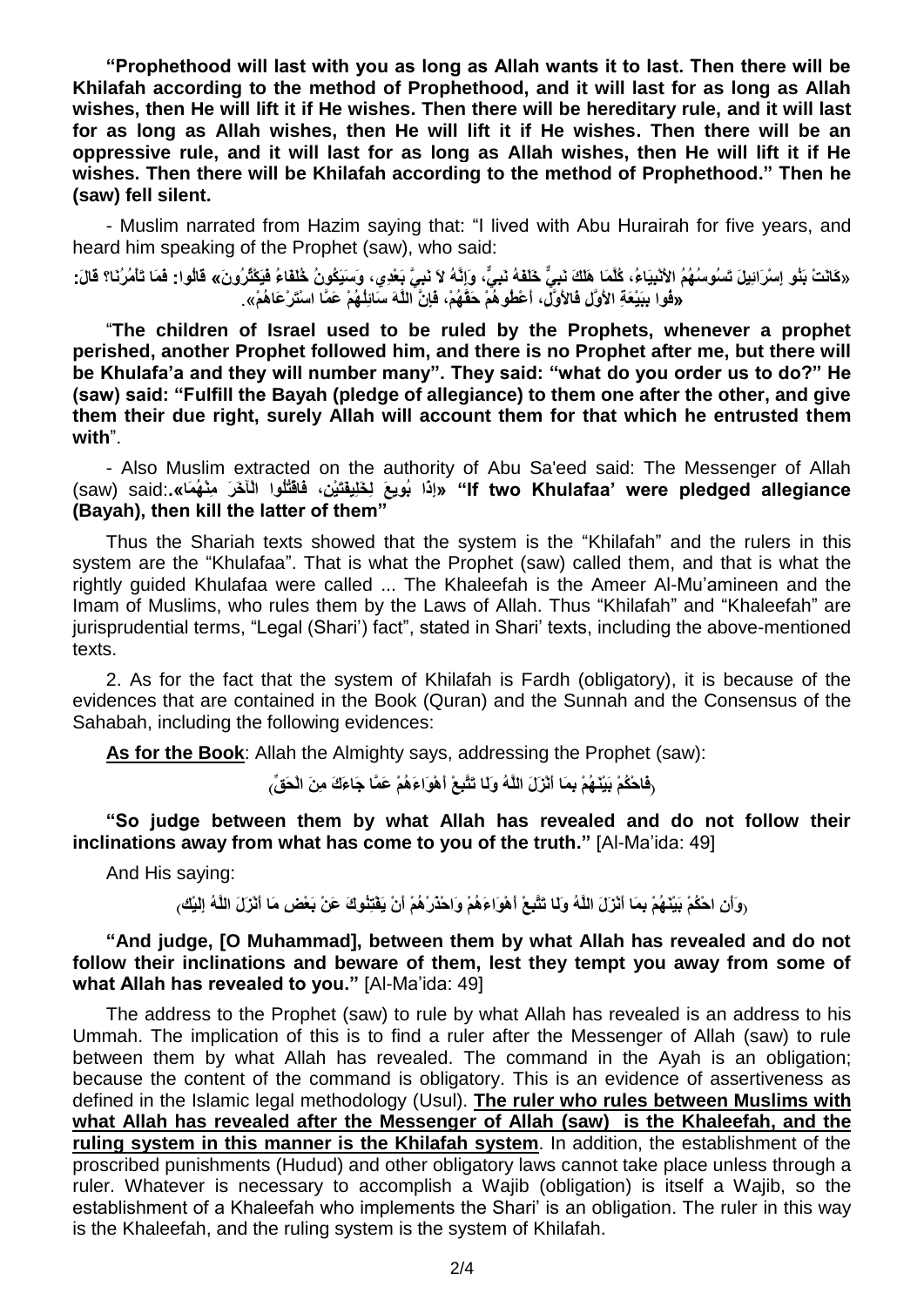**"Prophethood will last with you as long as Allah wants it to last. Then there will be Khilafah according to the method of Prophethood, and it will last for as long as Allah wishes, then He will lift it if He wishes. Then there will be hereditary rule, and it will last for as long as Allah wishes, then He will lift it if He wishes. Then there will be an oppressive rule, and it will last for as long as Allah wishes, then He will lift it if He wishes. Then there will be Khilafah according to the method of Prophethood." Then he (saw) fell silent.**

- Muslim narrated from Hazim saying that: "I lived with Abu Hurairah for five years, and heard him speaking of the Prophet (saw), who said:

«كَانَتْ بَنُو إِسْرَائِيلَ تَس*نُ*وسُهُمُ الأَنْبِيَاءُ، كُلَّمَا هَلَكَ نَبِيٍّ خَلَقَهُ نَبِيٍّ، وَإِنَّهُ لاَ نَبِيَّ بَعْدِي، وَسَيَكُونُ خُلَقَاءُ فَيَكْثُرُونَ» قَالُوا: فَمَا تَأْمُرُنَا؟ قَالَ: ِّ «فُو ا بِبَيْعَةِ الأُوَّل فَالأُوَّلِّ، أَعْطُو<sub>ْ</sub>هُمْ حَقَّهُمْ، فَإِنَّ اللَّهَ سَائِلُّهُمْ عَمَّا اسْتَرْعَاهُمْ»

"**The children of Israel used to be ruled by the Prophets, whenever a prophet perished, another Prophet followed him, and there is no Prophet after me, but there will be Khulafa'a and they will number many". They said: "what do you order us to do?" He (saw) said: "Fulfill the Bayah (pledge of allegiance) to them one after the other, and give them their due right, surely Allah will account them for that which he entrusted them with**".

- Also Muslim extracted on the authority of Abu Sa'eed said: The Messenger of Allah saw) said: «إِذَا بُويِعَ لِخَلِيفَتَيْنِ، فَاقْتُلُوا الْآخَرَ مِنْهُمَا». (saw) said: «إِذَا بَوِيعَ لِخَلِيفَتَيْن **(Bayah), then kill the latter of them"**

Thus the Shariah texts showed that the system is the "Khilafah" and the rulers in this system are the "Khulafaa". That is what the Prophet (saw) called them, and that is what the rightly guided Khulafaa were called ... The Khaleefah is the Ameer Al-Mu'amineen and the Imam of Muslims, who rules them by the Laws of Allah. Thus "Khilafah" and "Khaleefah" are jurisprudential terms, "Legal (Shari') fact", stated in Shari' texts, including the above-mentioned texts.

2. As for the fact that the system of Khilafah is Fardh (obligatory), it is because of the evidences that are contained in the Book (Quran) and the Sunnah and the Consensus of the Sahabah, including the following evidences:

**As for the Book**: Allah the Almighty says, addressing the Prophet (saw):

ِّ فَاحْكُمْ بَيْنَـٰهُمْ بِمَا أَنْزَلَ اللَّهُ و<sup>َ</sup>لِّا تَتَّبِعْ أَهْوَاءَهُمْ عَمَّا جَاءَكَ مِنَ الْحَقِّ

**"So judge between them by what Allah has revealed and do not follow their inclinations away from what has come to you of the truth."** [Al-Ma'ida: 49]

And His saying:

ْ رَوَاْنِ احْكُمْ بَيْنَـهُمْ بِمَا أَنْزَلَ اللَّهُ وَلَـا تَتَّبِعْ أَهْوَاءَهُمْ وَاحْدُرْهُمْ أَنْ يَفْتِنُوكَ عَنْ بَعْضِ مَا أَنْزَلَ اللَّهُ اِلَيْك

**"And judge, [O Muhammad], between them by what Allah has revealed and do not follow their inclinations and beware of them, lest they tempt you away from some of**  what Allah has revealed to you." [Al-Ma'ida: 49]

The address to the Prophet (saw) to rule by what Allah has revealed is an address to his Ummah. The implication of this is to find a ruler after the Messenger of Allah (saw) to rule between them by what Allah has revealed. The command in the Ayah is an obligation; because the content of the command is obligatory. This is an evidence of assertiveness as defined in the Islamic legal methodology (Usul). **The ruler who rules between Muslims with what Allah has revealed after the Messenger of Allah (saw) is the Khaleefah, and the ruling system in this manner is the Khilafah system**. In addition, the establishment of the proscribed punishments (Hudud) and other obligatory laws cannot take place unless through a ruler. Whatever is necessary to accomplish a Wajib (obligation) is itself a Wajib, so the establishment of a Khaleefah who implements the Shari' is an obligation. The ruler in this way is the Khaleefah, and the ruling system is the system of Khilafah.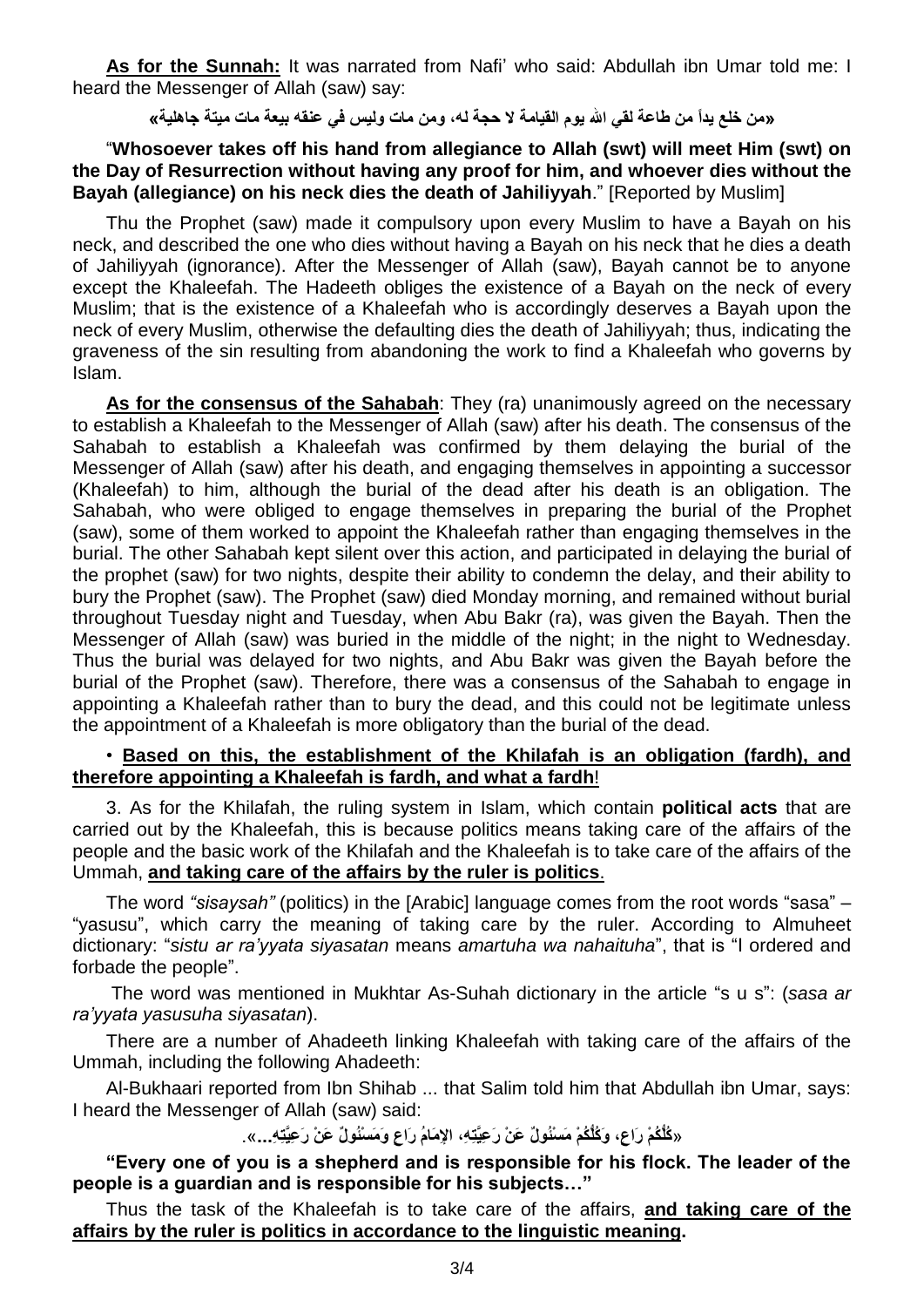**As for the Sunnah:** It was narrated from Nafi' who said: Abdullah ibn Umar told me: I heard the Messenger of Allah (saw) say:

# «من خلع يداً من طاعة لقى الله يوم القيامة لا حجة له، ومن مات وليس في علقه بيعة مات ميتة جاهلية»

# "**Whosoever takes off his hand from allegiance to Allah (swt) will meet Him (swt) on the Day of Resurrection without having any proof for him, and whoever dies without the Bayah (allegiance) on his neck dies the death of Jahiliyyah." [Reported by Muslim]**

Thu the Prophet (saw) made it compulsory upon every Muslim to have a Bayah on his neck, and described the one who dies without having a Bayah on his neck that he dies a death of Jahiliyyah (ignorance). After the Messenger of Allah (saw), Bayah cannot be to anyone except the Khaleefah. The Hadeeth obliges the existence of a Bayah on the neck of every Muslim; that is the existence of a Khaleefah who is accordingly deserves a Bayah upon the neck of every Muslim, otherwise the defaulting dies the death of Jahiliyyah; thus, indicating the graveness of the sin resulting from abandoning the work to find a Khaleefah who governs by Islam.

**As for the consensus of the Sahabah**: They (ra) unanimously agreed on the necessary to establish a Khaleefah to the Messenger of Allah (saw) after his death. The consensus of the Sahabah to establish a Khaleefah was confirmed by them delaying the burial of the Messenger of Allah (saw) after his death, and engaging themselves in appointing a successor (Khaleefah) to him, although the burial of the dead after his death is an obligation. The Sahabah, who were obliged to engage themselves in preparing the burial of the Prophet (saw), some of them worked to appoint the Khaleefah rather than engaging themselves in the burial. The other Sahabah kept silent over this action, and participated in delaying the burial of the prophet (saw) for two nights, despite their ability to condemn the delay, and their ability to bury the Prophet (saw). The Prophet (saw) died Monday morning, and remained without burial throughout Tuesday night and Tuesday, when Abu Bakr (ra), was given the Bayah. Then the Messenger of Allah (saw) was buried in the middle of the night; in the night to Wednesday. Thus the burial was delayed for two nights, and Abu Bakr was given the Bayah before the burial of the Prophet (saw). Therefore, there was a consensus of the Sahabah to engage in appointing a Khaleefah rather than to bury the dead, and this could not be legitimate unless the appointment of a Khaleefah is more obligatory than the burial of the dead.

## • **Based on this, the establishment of the Khilafah is an obligation (fardh), and therefore appointing a Khaleefah is fardh, and what a fardh**!

3. As for the Khilafah, the ruling system in Islam, which contain **political acts** that are carried out by the Khaleefah, this is because politics means taking care of the affairs of the people and the basic work of the Khilafah and the Khaleefah is to take care of the affairs of the Ummah, **and taking care of the affairs by the ruler is politics**.

The word *"sisaysah"* (politics) in the [Arabic] language comes from the root words "sasa" – "yasusu", which carry the meaning of taking care by the ruler. According to Almuheet dictionary: "*sistu ar ra'yyata siyasatan* means *amartuha wa nahaituha*", that is "I ordered and forbade the people".

The word was mentioned in Mukhtar As-Suhah dictionary in the article "s u s": (*sasa ar ra'yyata yasusuha siyasatan*).

There are a number of Ahadeeth linking Khaleefah with taking care of the affairs of the Ummah, including the following Ahadeeth:

Al-Bukhaari reported from Ibn Shihab ... that Salim told him that Abdullah ibn Umar, says: I heard the Messenger of Allah (saw) said:

«كُلُّكُمْ رَاعٍ، وَكُلُّكُمْ مَسْئُولٌ عَنْ رَعِيَّتِهِ، الإِمَامُ رَاعٍ وَمَسْئُولٌ عَنْ رَعِيَّتِهِ...».

**"Every one of you is a shepherd and is responsible for his flock. The leader of the people is a guardian and is responsible for his subjects…"** 

Thus the task of the Khaleefah is to take care of the affairs, **and taking care of the affairs by the ruler is politics in accordance to the linguistic meaning.**